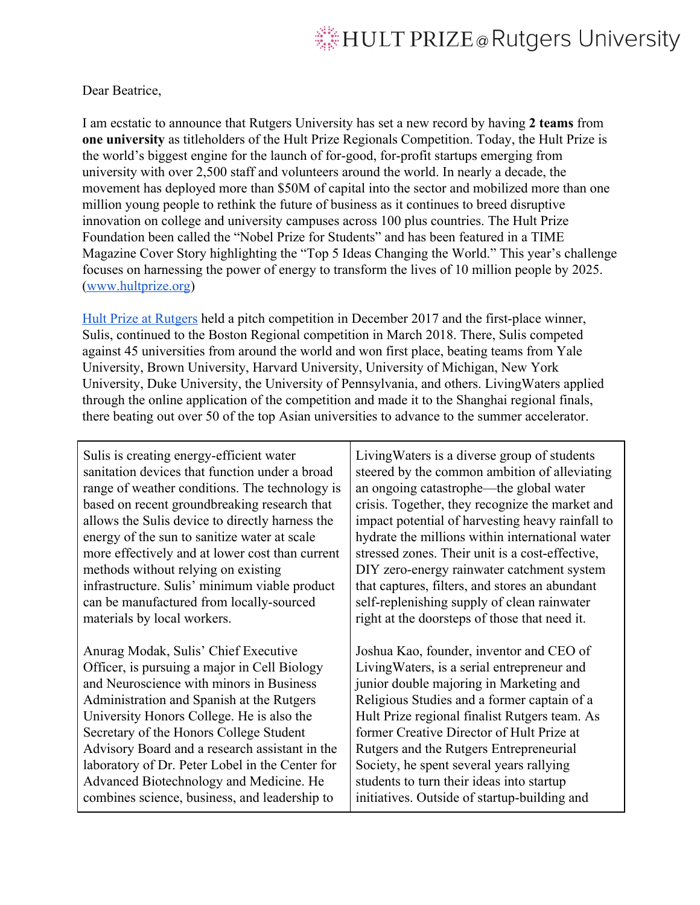## HULT PRIZE @ Rutgers University

## Dear Beatrice,

I am ecstatic to announce that Rutgers University has set a new record by having **2 teams** from **one university** as titleholders of the Hult Prize Regionals Competition. Today, the Hult Prize is the world's biggest engine for the launch of for-good, for-profit startups emerging from university with over 2,500 staff and volunteers around the world. In nearly a decade, the movement has deployed more than \$50M of capital into the sector and mobilized more than one million young people to rethink the future of business as it continues to breed disruptive innovation on college and university campuses across 100 plus countries. The Hult Prize Foundation been called the "Nobel Prize for Students" and has been featured in a TIME Magazine Cover Story highlighting the "Top 5 Ideas Changing the World." This year's challenge focuses on harnessing the power of energy to transform the lives of 10 million people by 2025. ([www.hultprize.org](http://www.hultprize.org/))

[Hult Prize at Rutgers](https://www.facebook.com/hultprizeru/) held a pitch competition in December 2017 and the first-place winner, Sulis, continued to the Boston Regional competition in March 2018. There, Sulis competed against 45 universities from around the world and won first place, beating teams from Yale University, Brown University, Harvard University, University of Michigan, New York University, Duke University, the University of Pennsylvania, and others. LivingWaters applied through the online application of the competition and made it to the Shanghai regional finals, there beating out over 50 of the top Asian universities to advance to the summer accelerator.

Sulis is creating energy-efficient water sanitation devices that function under a broad range of weather conditions. The technology is based on recent groundbreaking research that allows the Sulis device to directly harness the energy of the sun to sanitize water at scale more effectively and at lower cost than current methods without relying on existing infrastructure. Sulis' minimum viable product can be manufactured from locally-sourced materials by local workers.

Anurag Modak, Sulis' Chief Executive Officer, is pursuing a major in Cell Biology and Neuroscience with minors in Business Administration and Spanish at the Rutgers University Honors College. He is also the Secretary of the Honors College Student Advisory Board and a research assistant in the laboratory of Dr. Peter Lobel in the Center for Advanced Biotechnology and Medicine. He combines science, business, and leadership to

LivingWaters is a diverse group of students steered by the common ambition of alleviating an ongoing catastrophe—the global water crisis. Together, they recognize the market and impact potential of harvesting heavy rainfall to hydrate the millions within international water stressed zones. Their unit is a cost-effective, DIY zero-energy rainwater catchment system that captures, filters, and stores an abundant self-replenishing supply of clean rainwater right at the doorsteps of those that need it.

Joshua Kao, founder, inventor and CEO of LivingWaters, is a serial entrepreneur and junior double majoring in Marketing and Religious Studies and a former captain of a Hult Prize regional finalist Rutgers team. As former Creative Director of Hult Prize at Rutgers and the Rutgers Entrepreneurial Society, he spent several years rallying students to turn their ideas into startup initiatives. Outside of startup-building and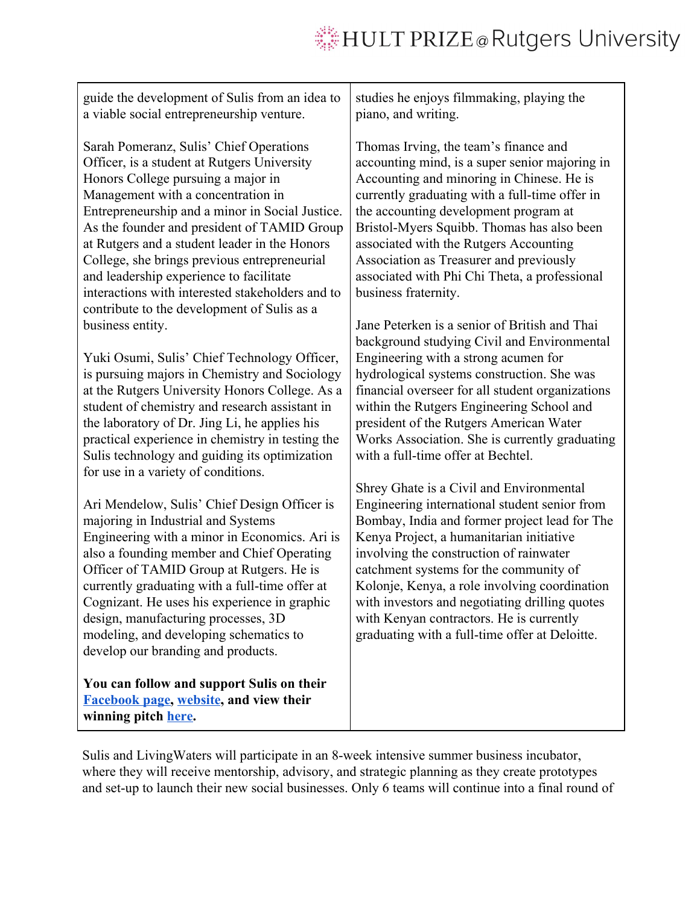## **WHULT PRIZE @ Rutgers University**

guide the development of Sulis from an idea to a viable social entrepreneurship venture.

Sarah Pomeranz, Sulis' Chief Operations Officer, is a student at Rutgers University Honors College pursuing a major in Management with a concentration in Entrepreneurship and a minor in Social Justice. As the founder and president of TAMID Group at Rutgers and a student leader in the Honors College, she brings previous entrepreneurial and leadership experience to facilitate interactions with interested stakeholders and to contribute to the development of Sulis as a business entity.

Yuki Osumi, Sulis' Chief Technology Officer, is pursuing majors in Chemistry and Sociology at the Rutgers University Honors College. As a student of chemistry and research assistant in the laboratory of Dr. Jing Li, he applies his practical experience in chemistry in testing the Sulis technology and guiding its optimization for use in a variety of conditions.

Ari Mendelow, Sulis' Chief Design Officer is majoring in Industrial and Systems Engineering with a minor in Economics. Ari is also a founding member and Chief Operating Officer of TAMID Group at Rutgers. He is currently graduating with a full-time offer at Cognizant. He uses his experience in graphic design, manufacturing processes, 3D modeling, and developing schematics to develop our branding and products.

**You can follow and support Sulis on their [Facebook page](https://www.facebook.com/suliswaterinternational), [website](http://www.suliswater.org/), and view their winning pitch [here](https://www.facebook.com/suliswaterinternational/videos/1597080880411399/).**

studies he enjoys filmmaking, playing the piano, and writing.

Thomas Irving, the team's finance and accounting mind, is a super senior majoring in Accounting and minoring in Chinese. He is currently graduating with a full-time offer in the accounting development program at Bristol-Myers Squibb. Thomas has also been associated with the Rutgers Accounting Association as Treasurer and previously associated with Phi Chi Theta, a professional business fraternity.

Jane Peterken is a senior of British and Thai background studying Civil and Environmental Engineering with a strong acumen for hydrological systems construction. She was financial overseer for all student organizations within the Rutgers Engineering School and president of the Rutgers American Water Works Association. She is currently graduating with a full-time offer at Bechtel.

Shrey Ghate is a Civil and Environmental Engineering international student senior from Bombay, India and former project lead for The Kenya Project, a humanitarian initiative involving the construction of rainwater catchment systems for the community of Kolonje, Kenya, a role involving coordination with investors and negotiating drilling quotes with Kenyan contractors. He is currently graduating with a full-time offer at Deloitte.

Sulis and LivingWaters will participate in an 8-week intensive summer business incubator, where they will receive mentorship, advisory, and strategic planning as they create prototypes and set-up to launch their new social businesses. Only 6 teams will continue into a final round of